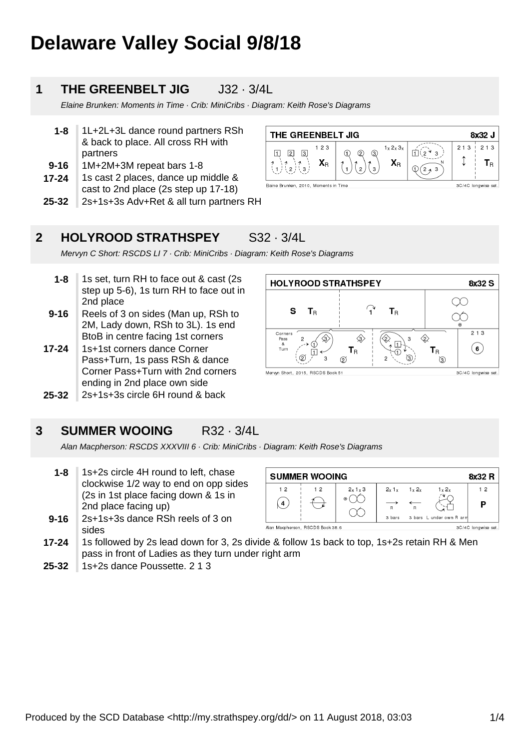# **Delaware Valley Social 9/8/18**

### **1 THE GREENBELT JIG** J32 · 3/4L

Elaine Brunken: Moments in Time · Crib: MiniCribs · Diagram: Keith Rose's Diagrams

| 1-8       | 1L+2L+3L dance round partners RSh    |
|-----------|--------------------------------------|
|           | & back to place. All cross RH with   |
|           | partners                             |
| $9 - 16$  | 1M+2M+3M repeat bars 1-8             |
| $17 - 24$ | 1s cast 2 places, dance up middle &  |
|           | cast to 2nd place (2s step up 17-18) |

| 25-32 2s+1s+3s Adv+Ret & all turn partners RH |
|-----------------------------------------------|
|                                               |

| THE GREENBELT JIG<br>8x32 J           |                    |                                          |        |     |                         |  |
|---------------------------------------|--------------------|------------------------------------------|--------|-----|-------------------------|--|
| 123<br>3<br>2<br>$\mathbf{X}_R$       | Θ.<br>12<br>Q<br>ົ | $1_x 2_x 3_x$<br>$\mathbf{X}_{\text{R}}$ | з<br>3 | 213 | 2 1 3<br>$\overline{R}$ |  |
| Elaine Brunken, 2010, Moments in Time |                    |                                          |        |     | 3C/4C longwise set.     |  |

 $\mathbf{r}$ 

 $\langle$ 3

 $T_{\rm R}$ 

 $\varnothing$ 

 $T_{\rm R}$ 

 $\diamondsuit$ 

 $T_{\rm R}$ 

 $\circled{3}$ 

**HOLYROOD STRATHSPEY** 

 $\mathbf{s}$ 

۔<br>ح

 $T_R$ 

 $|1$ ത

Mervyn Short, 2015, RSCDS Book 51

### **2 HOLYROOD STRATHSPEY** S32 · 3/4L

Mervyn C Short: RSCDS LI 7 · Crib: MiniCribs · Diagram: Keith Rose's Diagrams

- **1-8** 1s set, turn RH to face out & cast (2s step up 5-6), 1s turn RH to face out in 2nd place
- **9-16** Reels of 3 on sides (Man up, RSh to 2M, Lady down, RSh to 3L). 1s end BtoB in centre facing 1st corners
- **17-24** 1s+1st corners dance Corner Pass+Turn, 1s pass RSh & dance Corner Pass+Turn with 2nd corners ending in 2nd place own side
- **25-32** 2s+1s+3s circle 6H round & back



Alan Macpherson: RSCDS XXXVIII 6 · Crib: MiniCribs · Diagram: Keith Rose's Diagrams

- **1-8** 1s+2s circle 4H round to left, chase clockwise 1/2 way to end on opp sides (2s in 1st place facing down & 1s in 2nd place facing up)
- **9-16** 2s+1s+3s dance RSh reels of 3 on sides



- **17-24** 1s followed by 2s lead down for 3, 2s divide & follow 1s back to top, 1s+2s retain RH & Men pass in front of Ladies as they turn under right arm
- **25-32** 1s+2s dance Poussette. 2 1 3

8x32 S

 $\overline{213}$ 

 $(6)$ 

3C/4C longwise set.

 $\infty$ 

 $\infty$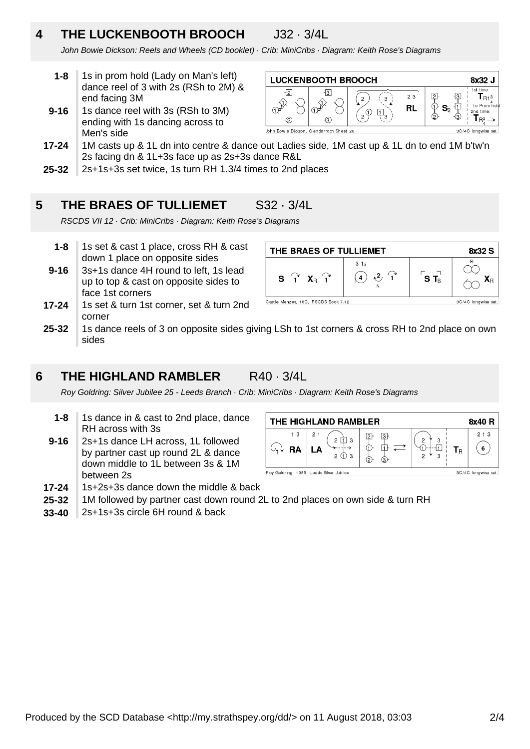# **4 THE LUCKENBOOTH BROOCH** J32 · 3/4L

**LUCKENBOOTH BROOCH** 

 $\mathcal{D}$ 

3

John Bowie Dickson: Reels and Wheels (CD booklet) · Crib: MiniCribs · Diagram: Keith Rose's Diagrams

- **1-8** 1s in prom hold (Lady on Man's left) dance reel of 3 with 2s (RSh to 2M) & end facing 3M
- **9-16** 1s dance reel with 3s (RSh to 3M) ending with 1s dancing across to Men's side

### $\left( \frac{1}{2} \right)$  $\overline{\mathfrak{p}}_3$  $\circled{2}$  $\Theta$ John Bowie Dickson, Glendarroch Sheet 28

 $\overline{2}$ 

- **17-24** 1M casts up & 1L dn into centre & dance out Ladies side, 1M cast up & 1L dn to end 1M b'tw'n 2s facing dn & 1L+3s face up as 2s+3s dance R&L
- **25-32** 2s+1s+3s set twice, 1s turn RH 1.3/4 times to 2nd places

### **5 THE BRAES OF TULLIEMET** S32 · 3/4L

RSCDS VII 12 · Crib: MiniCribs · Diagram: Keith Rose's Diagrams

- **1-8** 1s set & cast 1 place, cross RH & cast down 1 place on opposite sides
- **9-16** 3s+1s dance 4H round to left, 1s lead up to top & cast on opposite sides to face 1st corners
- **17-24** 1s set & turn 1st corner, set & turn 2nd corner



 $2.3$ 

**RL** 

8x32 J

 $\mathbf{T}_{\mathsf{R1}^3}$ 

time Tr

**25-32** 1s dance reels of 3 on opposite sides giving LSh to 1st corners & cross RH to 2nd place on own sides

### **6 THE HIGHLAND RAMBLER** R40 · 3/4L

Roy Goldring: Silver Jubilee 25 - Leeds Branch · Crib: MiniCribs · Diagram: Keith Rose's Diagrams

- **1-8** 1s dance in & cast to 2nd place, dance RH across with 3s
- **9-16** 2s+1s dance LH across, 1L followed by partner cast up round 2L & dance down middle to 1L between 3s & 1M between 2s
- **17-24** 1s+2s+3s dance down the middle & back
- **25-32** 1M followed by partner cast down round 2L to 2nd places on own side & turn RH
- **33-40** 2s+1s+3s circle 6H round & back

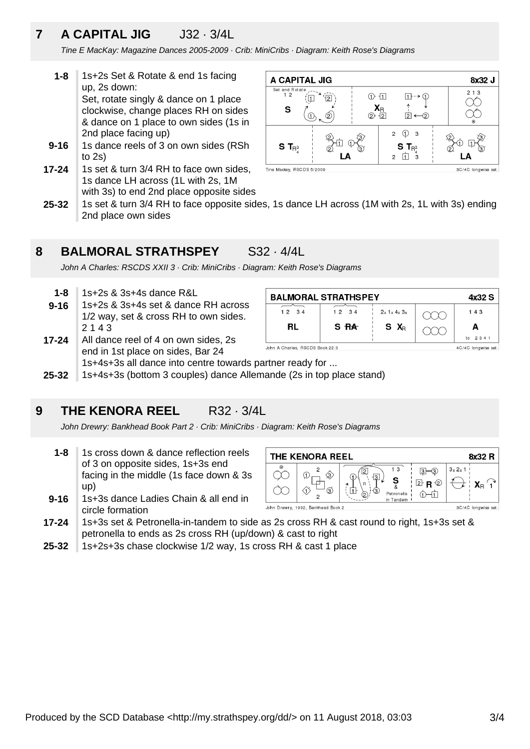### **7 A CAPITAL JIG** J32 · 3/4L

Tine E MacKay: Magazine Dances 2005-2009 · Crib: MiniCribs · Diagram: Keith Rose's Diagrams

- **9-16 1-8** 1s+2s Set & Rotate & end 1s facing up, 2s down: Set, rotate singly & dance on 1 place clockwise, change places RH on sides & dance on 1 place to own sides (1s in 2nd place facing up) 1s dance reels of 3 on own sides (RSh
- to 2s)
- **17-24** 1s set & turn 3/4 RH to face own sides, 1s dance LH across (1L with 2s, 1M with 3s) to end 2nd place opposite sides



**25-32** 1s set & turn 3/4 RH to face opposite sides, 1s dance LH across (1M with 2s, 1L with 3s) ending 2nd place own sides

### **8 BALMORAL STRATHSPEY** S32 · 4/4L

John A Charles: RSCDS XXII 3 · Crib: MiniCribs · Diagram: Keith Rose's Diagrams

- **1-8** 1s+2s & 3s+4s dance R&L
- **9-16** 1s+2s & 3s+4s set & dance RH across 1/2 way, set & cross RH to own sides. 2 1 4 3

| <b>BALMORAL STRATHSPEY</b><br>4x32 S |                     |                   |  |               |  |  |
|--------------------------------------|---------------------|-------------------|--|---------------|--|--|
| 12 34                                | 1234                | $2x$ 1 x 4 x $3x$ |  | 143           |  |  |
| RL                                   | S RA                | S X <sub>R</sub>  |  |               |  |  |
|                                      |                     |                   |  | 2 3 4 1<br>to |  |  |
| John A Charles, RSCDS Book 22.3      | 4C/4C longwise set. |                   |  |               |  |  |

- **17-24** All dance reel of 4 on own sides, 2s end in 1st place on sides, Bar 24 1s+4s+3s all dance into centre towards partner ready for ...
- **25-32** 1s+4s+3s (bottom 3 couples) dance Allemande (2s in top place stand)

### **9 THE KENORA REEL** R32 · 3/4L

John Drewry: Bankhead Book Part 2 · Crib: MiniCribs · Diagram: Keith Rose's Diagrams

- **1-8** 1s cross down & dance reflection reels of 3 on opposite sides, 1s+3s end facing in the middle (1s face down & 3s up)
- **9-16** 1s+3s dance Ladies Chain & all end in circle formation

THE KENORA REEL 8x32 R  $\overline{13}$  $3x 2x 1$  $3 - 3$  $\curvearrowright$ G Ş<br>&  $2$  R  $\circledcirc$  $X_{\rm D}$ <sup> $\prime$ </sup><sub>1</sub>  $\curvearrowright$ Æ Petronella ⊙一立 Tandem John Drewry, 1992, Bankhead Book 2 3C/4C longwise set

- **17-24** 1s+3s set & Petronella-in-tandem to side as 2s cross RH & cast round to right, 1s+3s set & petronella to ends as 2s cross RH (up/down) & cast to right
- **25-32** 1s+2s+3s chase clockwise 1/2 way, 1s cross RH & cast 1 place